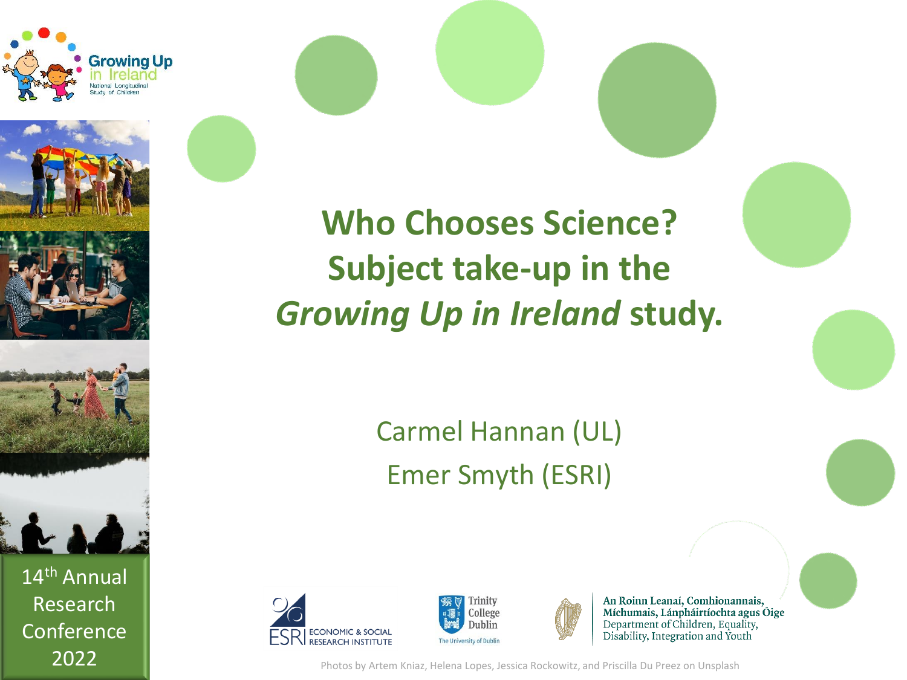

14th Annual

Research

**Conference** 

### **Who Chooses Science? Subject take-up in the**  *Growing Up in Ireland* **study.**

Carmel Hannan (UL) Emer Smyth (ESRI)







An Roinn Leanaí, Comhionannais, Míchumais, Lánpháirtíochta agus Óige Department of Children, Equality, Disability, Integration and Youth

2022 **Photos by Artem Kniaz, Helena Lopes, Jessica Rockowitz, and Priscilla Du Preez on Unsplash**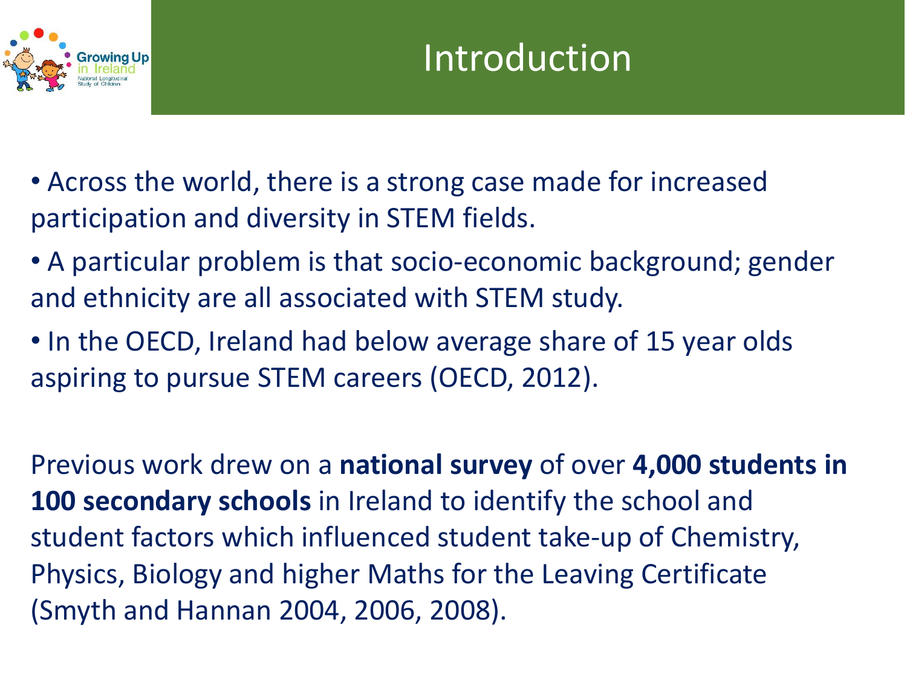

- Across the world, there is a strong case made for increased participation and diversity in STEM fields.
- A particular problem is that socio-economic background; gender and ethnicity are all associated with STEM study.
- In the OECD, Ireland had below average share of 15 year olds aspiring to pursue STEM careers (OECD, 2012).

Previous work drew on a **national survey** of over **4,000 students in 100 secondary schools** in Ireland to identify the school and student factors which influenced student take-up of Chemistry, Physics, Biology and higher Maths for the Leaving Certificate (Smyth and Hannan 2004, 2006, 2008).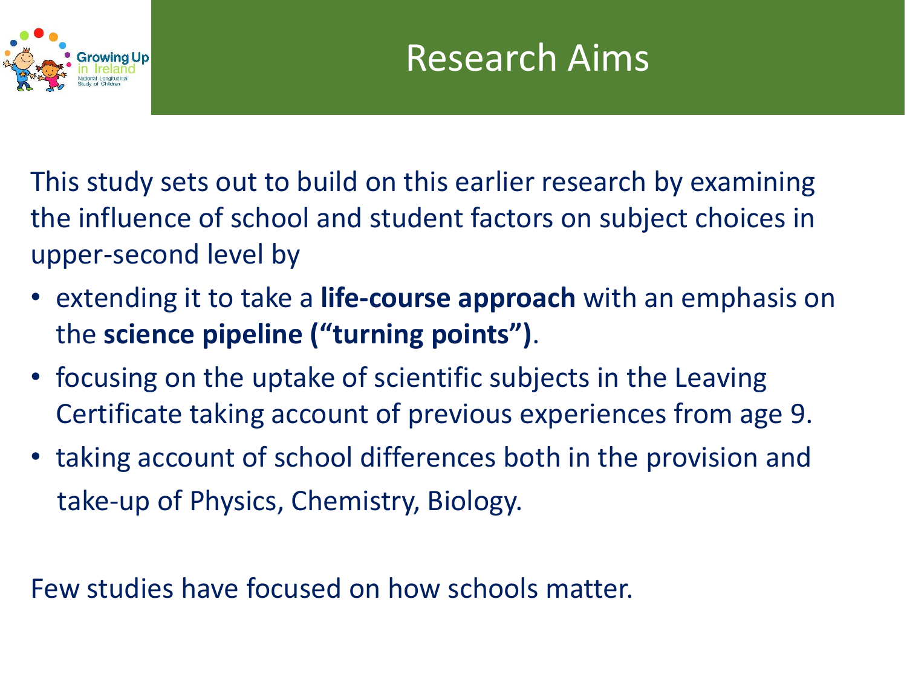

This study sets out to build on this earlier research by examining the influence of school and student factors on subject choices in upper-second level by

- extending it to take a **life-course approach** with an emphasis on the **science pipeline ("turning points")**.
- focusing on the uptake of scientific subjects in the Leaving Certificate taking account of previous experiences from age 9.
- taking account of school differences both in the provision and take-up of Physics, Chemistry, Biology.

Few studies have focused on how schools matter.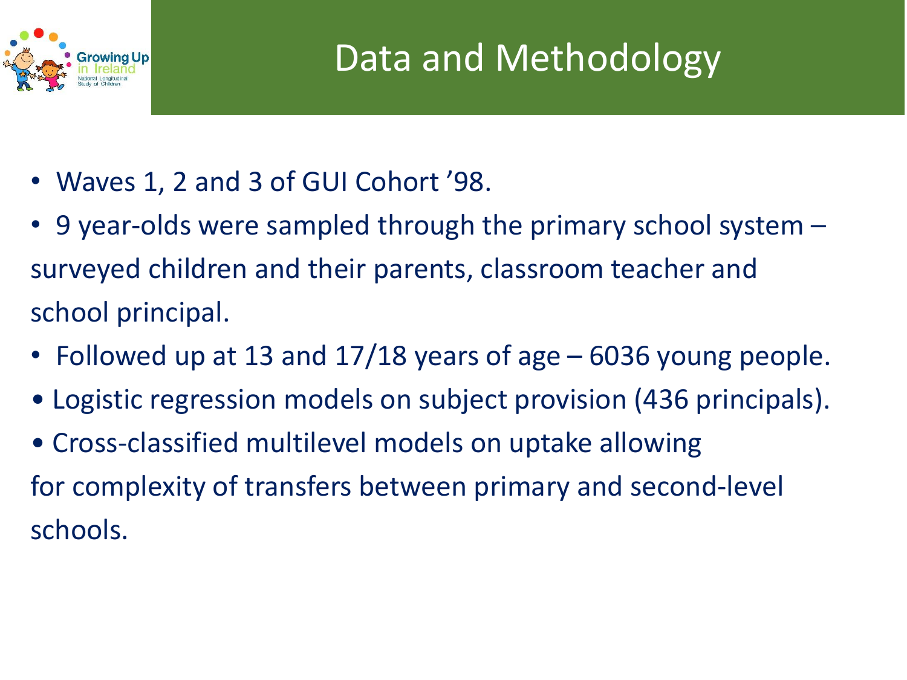

- Waves 1, 2 and 3 of GUI Cohort '98.
- 9 year-olds were sampled through the primary school system surveyed children and their parents, classroom teacher and school principal.
- Followed up at 13 and 17/18 years of age 6036 young people.
- Logistic regression models on subject provision (436 principals).
- Cross-classified multilevel models on uptake allowing for complexity of transfers between primary and second-level schools.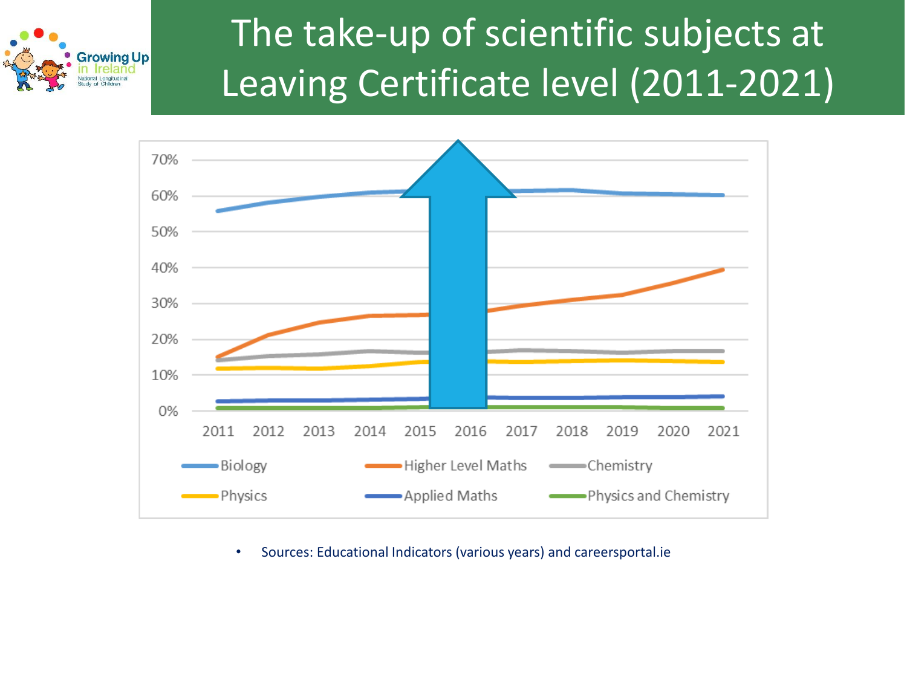





• Sources: Educational Indicators (various years) and careersportal.ie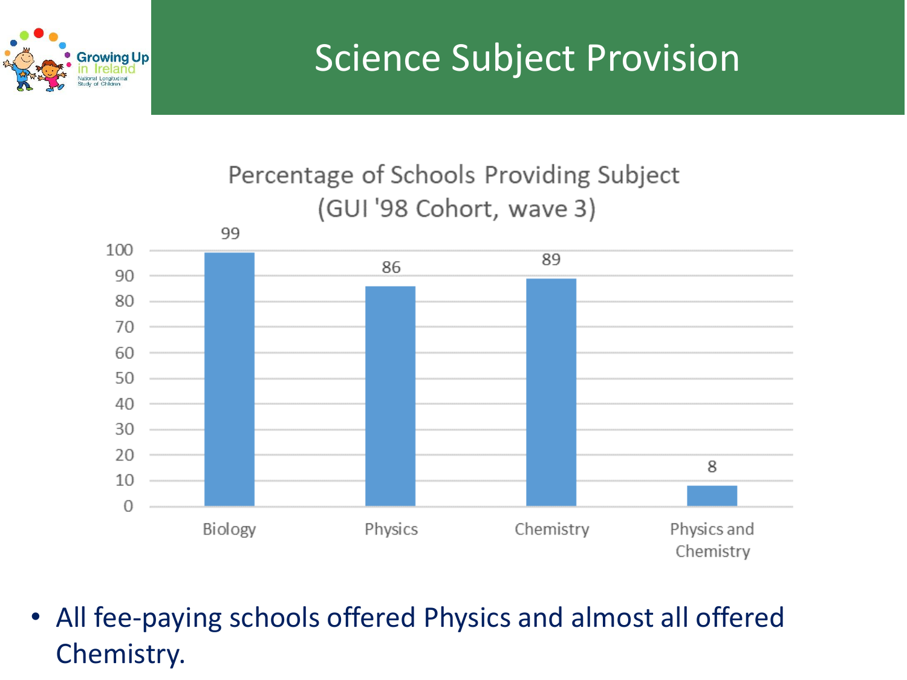

#### Percentage of Schools Providing Subject (GUI '98 Cohort, wave 3)



• All fee-paying schools offered Physics and almost all offered Chemistry.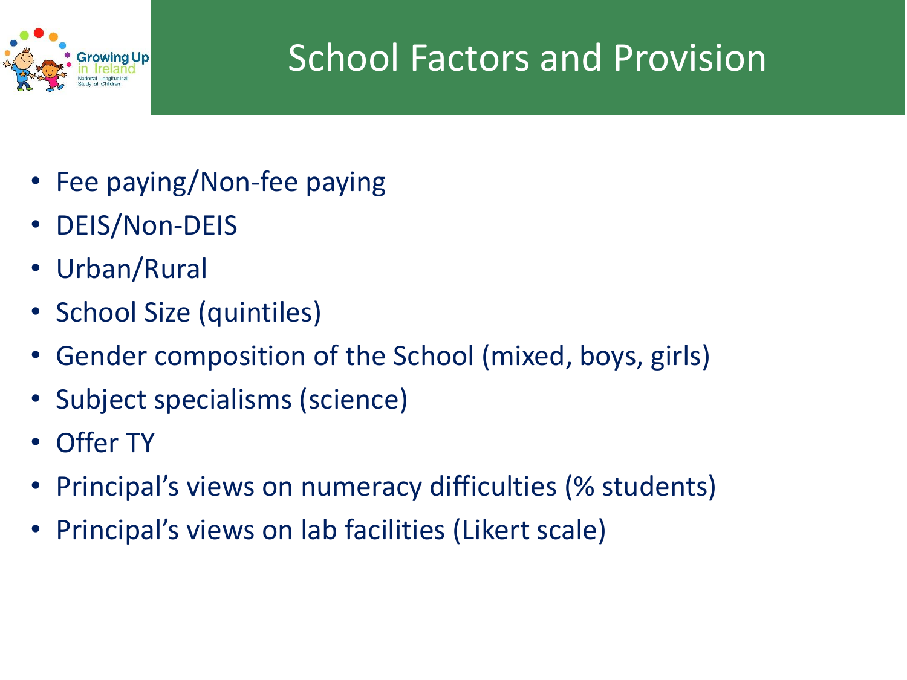

# School Factors and Provision

- Fee paying/Non-fee paying
- DEIS/Non-DEIS
- Urban/Rural
- School Size (quintiles)
- Gender composition of the School (mixed, boys, girls)
- Subject specialisms (science)
- **Offer TY**
- Principal's views on numeracy difficulties (% students)
- Principal's views on lab facilities (Likert scale)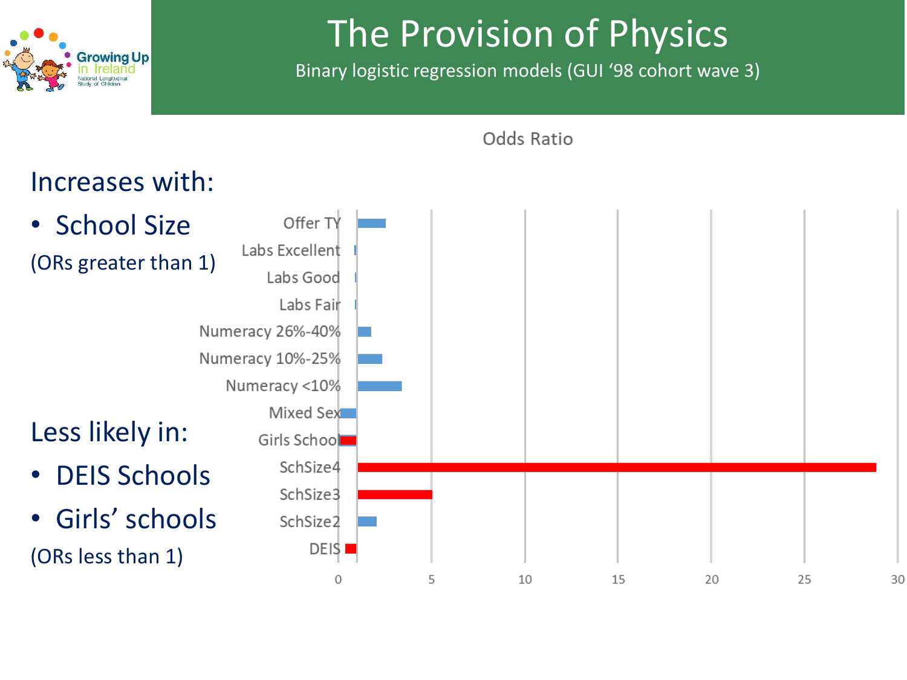

# The Provision of Physics

Binary logistic regression models (GUI '98 cohort wave 3)

Odds Ratio



30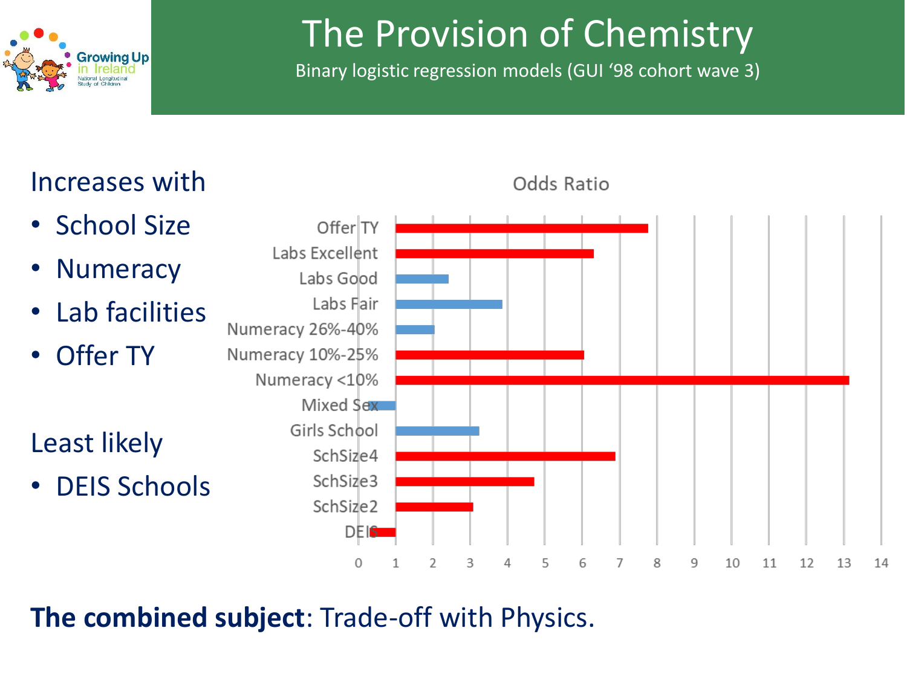

# The Provision of Chemistry

Binary logistic regression models (GUI '98 cohort wave 3)



Odds Ratio

**The combined subject**: Trade-off with Physics.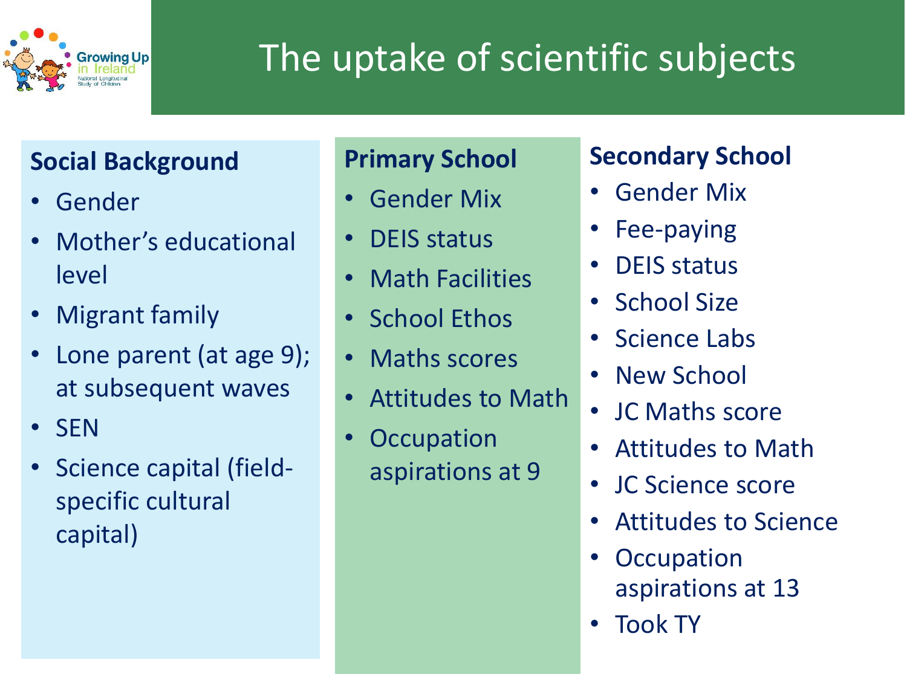

# The uptake of scientific subjects

#### **Social Background**

- Gender
- Mother's educational level
- Migrant family
- Lone parent (at age 9); at subsequent waves
- SEN
- Science capital (fieldspecific cultural capital)

#### **Primary School**

- Gender Mix
- DEIS status
- Math Facilities
- School Ethos
- Maths scores
- Attitudes to Math
- Occupation aspirations at 9

### **Secondary School**

- Gender Mix
- Fee-paying
- DEIS status
- School Size
- Science Labs
- New School
- JC Maths score
- Attitudes to Math
- JC Science score
- Attitudes to Science
- **Occupation** aspirations at 13
- Took TY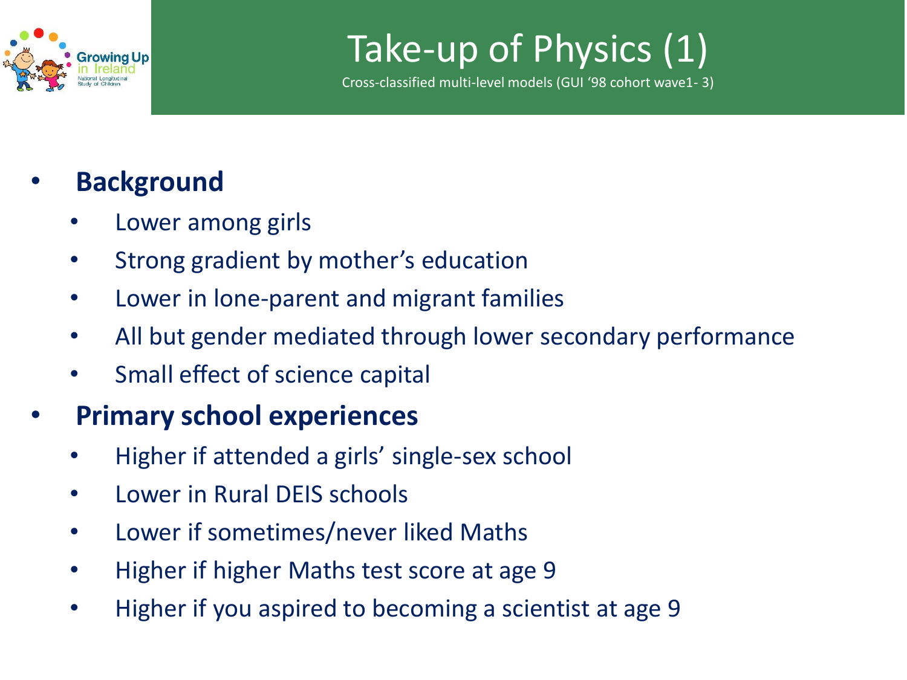

### Take-up of Physics (1)

Cross-classified multi-level models (GUI '98 cohort wave1- 3)

### • **Background**

- Lower among girls
- Strong gradient by mother's education
- Lower in lone-parent and migrant families
- All but gender mediated through lower secondary performance
- Small effect of science capital

### • **Primary school experiences**

- Higher if attended a girls' single-sex school
- Lower in Rural DEIS schools
- Lower if sometimes/never liked Maths
- Higher if higher Maths test score at age 9
- Higher if you aspired to becoming a scientist at age 9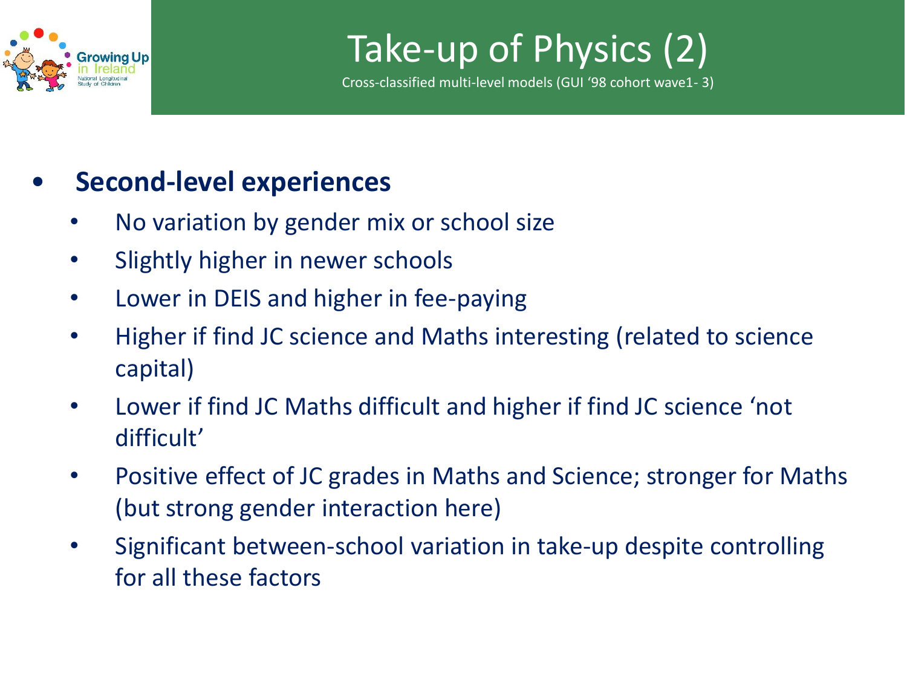

Take-up of Physics (2)

Cross-classified multi-level models (GUI '98 cohort wave1- 3)

#### • **Second-level experiences**

- No variation by gender mix or school size
- Slightly higher in newer schools
- Lower in DEIS and higher in fee-paying
- Higher if find JC science and Maths interesting (related to science capital)
- Lower if find JC Maths difficult and higher if find JC science 'not difficult'
- Positive effect of JC grades in Maths and Science; stronger for Maths (but strong gender interaction here)
- Significant between-school variation in take-up despite controlling for all these factors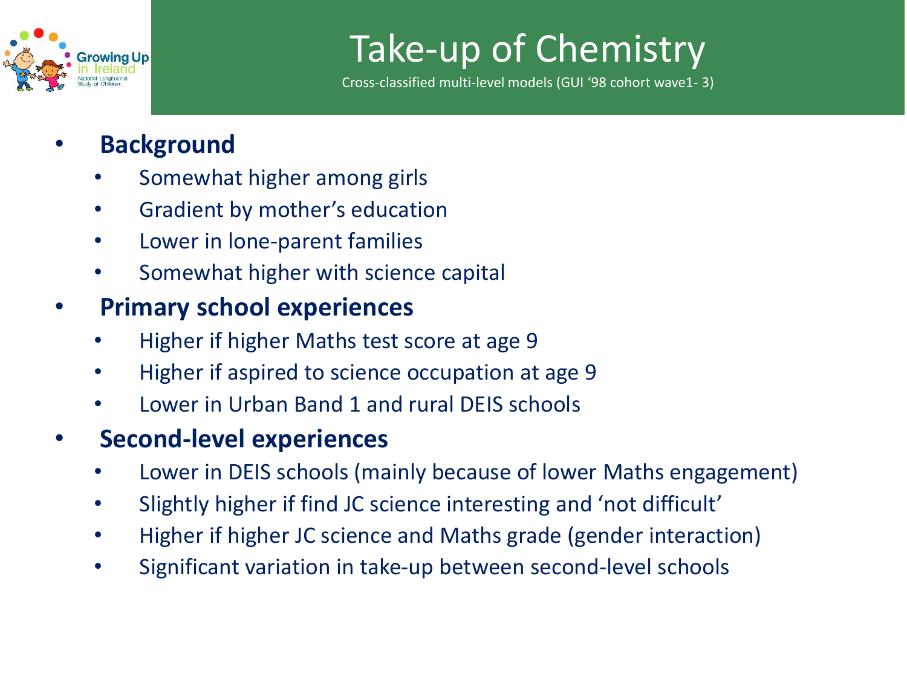

# Take-up of Chemistry

Cross-classified multi-level models (GUI '98 cohort wave1- 3)

- **Background**
	- Somewhat higher among girls
	- Gradient by mother's education
	- Lower in lone-parent families
	- Somewhat higher with science capital

#### • **Primary school experiences**

- Higher if higher Maths test score at age 9
- Higher if aspired to science occupation at age 9
- Lower in Urban Band 1 and rural DEIS schools

#### • **Second-level experiences**

- Lower in DEIS schools (mainly because of lower Maths engagement)
- Slightly higher if find JC science interesting and 'not difficult'
- Higher if higher JC science and Maths grade (gender interaction)
- Significant variation in take-up between second-level schools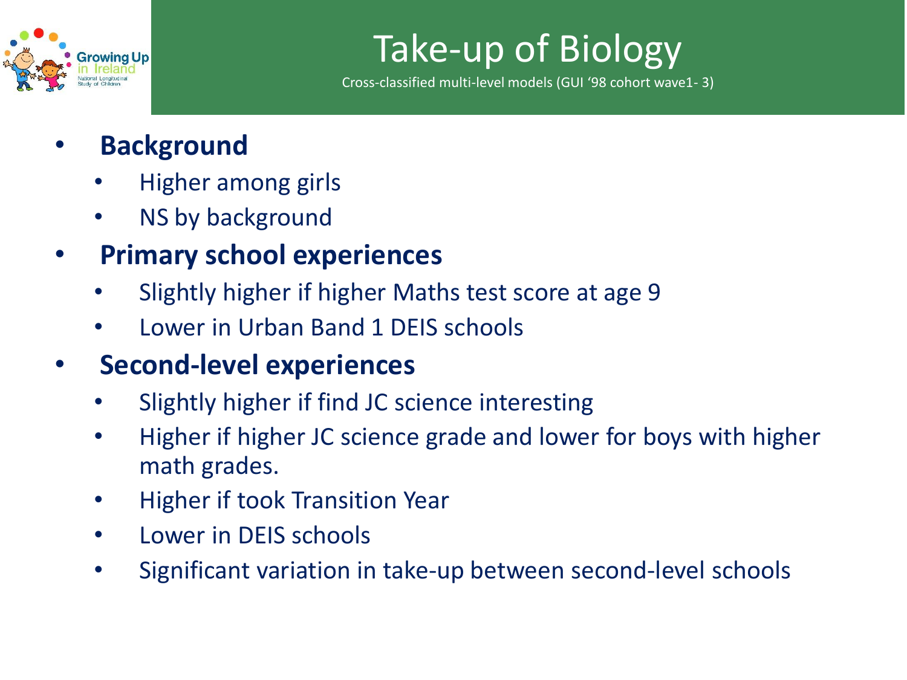

# Take-up of Biology

Cross-classified multi-level models (GUI '98 cohort wave1- 3)

- **Background**
	- Higher among girls
	- NS by background
- **Primary school experiences**
	- Slightly higher if higher Maths test score at age 9
	- Lower in Urban Band 1 DEIS schools
- **Second-level experiences**
	- Slightly higher if find JC science interesting
	- Higher if higher JC science grade and lower for boys with higher math grades.
	- Higher if took Transition Year
	- Lower in DEIS schools
	- Significant variation in take-up between second-level schools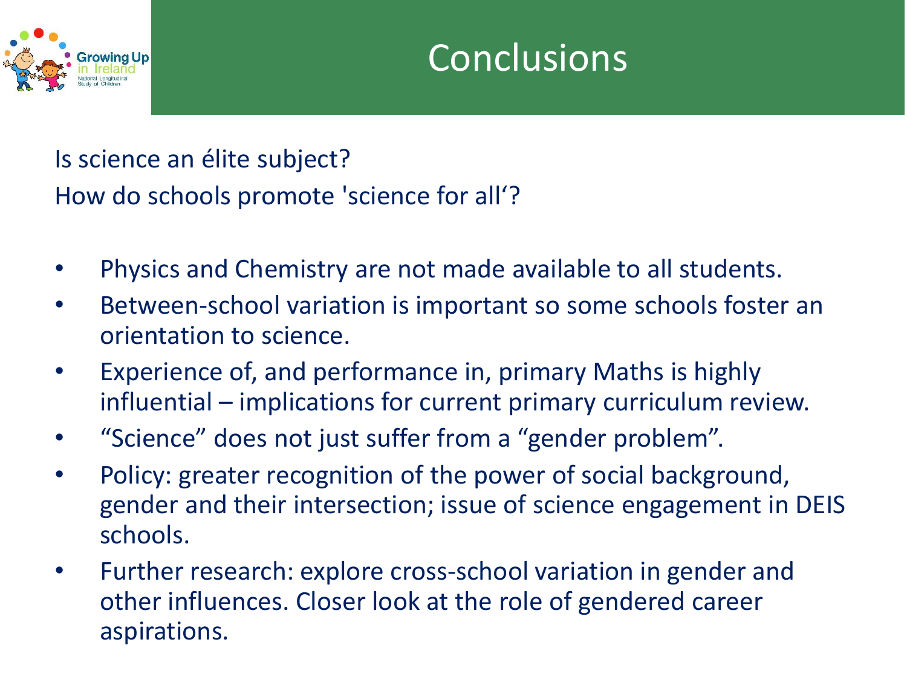

Is science an élite subject? How do schools promote 'science for all'?

- Physics and Chemistry are not made available to all students.
- Between-school variation is important so some schools foster an orientation to science.
- Experience of, and performance in, primary Maths is highly influential – implications for current primary curriculum review.
- "Science" does not just suffer from a "gender problem".
- Policy: greater recognition of the power of social background, gender and their intersection; issue of science engagement in DEIS schools.
- Further research: explore cross-school variation in gender and other influences. Closer look at the role of gendered career aspirations.